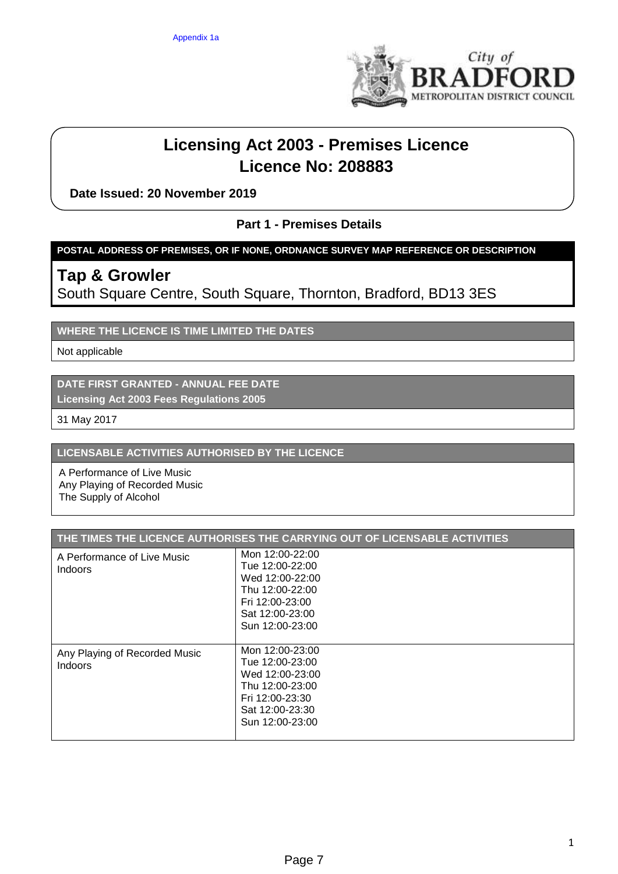

# **Licensing Act 2003 - Premises Licence Licence No: 208883**

**Date Issued: 20 November 2019**

**Part 1 - Premises Details** 

**POSTAL ADDRESS OF PREMISES, OR IF NONE, ORDNANCE SURVEY MAP REFERENCE OR DESCRIPTION**

## **Tap & Growler**

South Square Centre, South Square, Thornton, Bradford, BD13 3ES

## **WHERE THE LICENCE IS TIME LIMITED THE DATES**

Not applicable

## **DATE FIRST GRANTED - ANNUAL FEE DATE**

**Licensing Act 2003 Fees Regulations 2005**

31 May 2017

## **LICENSABLE ACTIVITIES AUTHORISED BY THE LICENCE**

A Performance of Live Music Any Playing of Recorded Music The Supply of Alcohol

| THE TIMES THE LICENCE AUTHORISES THE CARRYING OUT OF LICENSABLE ACTIVITIES |                                                                                                                                   |  |
|----------------------------------------------------------------------------|-----------------------------------------------------------------------------------------------------------------------------------|--|
| A Performance of Live Music<br>Indoors                                     | Mon 12:00-22:00<br>Tue 12:00-22:00<br>Wed 12:00-22:00<br>Thu 12:00-22:00<br>Fri 12:00-23:00<br>Sat 12:00-23:00<br>Sun 12:00-23:00 |  |
| Any Playing of Recorded Music<br>Indoors                                   | Mon 12:00-23:00<br>Tue 12:00-23:00<br>Wed 12:00-23:00<br>Thu 12:00-23:00<br>Fri 12:00-23:30<br>Sat 12:00-23:30<br>Sun 12:00-23:00 |  |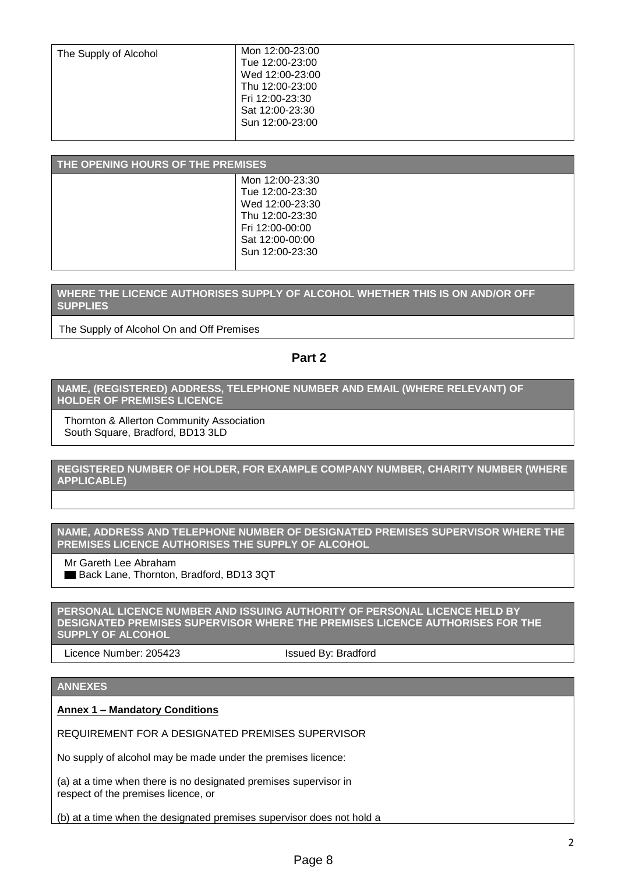| The Supply of Alcohol | Mon 12:00-23:00 |
|-----------------------|-----------------|
|                       | Tue 12:00-23:00 |
|                       | Wed 12:00-23:00 |
|                       | Thu 12:00-23:00 |
|                       | Fri 12:00-23:30 |
|                       | Sat 12:00-23:30 |
|                       | Sun 12:00-23:00 |
|                       |                 |

| THE OPENING HOURS OF THE PREMISES |                                                                                             |  |
|-----------------------------------|---------------------------------------------------------------------------------------------|--|
|                                   | Mon 12:00-23:30<br>Tue 12:00-23:30<br>Wed 12:00-23:30<br>Thu 12:00-23:30<br>Fri 12:00-00:00 |  |
|                                   | Sat 12:00-00:00<br>Sun 12:00-23:30                                                          |  |

#### **WHERE THE LICENCE AUTHORISES SUPPLY OF ALCOHOL WHETHER THIS IS ON AND/OR OFF SUPPLIES**

The Supply of Alcohol On and Off Premises

## **Part 2**

#### **NAME, (REGISTERED) ADDRESS, TELEPHONE NUMBER AND EMAIL (WHERE RELEVANT) OF HOLDER OF PREMISES LICENCE**

Thornton & Allerton Community Association South Square, Bradford, BD13 3LD

#### **REGISTERED NUMBER OF HOLDER, FOR EXAMPLE COMPANY NUMBER, CHARITY NUMBER (WHERE APPLICABLE)**

#### **NAME, ADDRESS AND TELEPHONE NUMBER OF DESIGNATED PREMISES SUPERVISOR WHERE THE PREMISES LICENCE AUTHORISES THE SUPPLY OF ALCOHOL**

Mr Gareth Lee Abraham Back Lane, Thornton, Bradford, BD13 3QT

**PERSONAL LICENCE NUMBER AND ISSUING AUTHORITY OF PERSONAL LICENCE HELD BY DESIGNATED PREMISES SUPERVISOR WHERE THE PREMISES LICENCE AUTHORISES FOR THE SUPPLY OF ALCOHOL**

Licence Number: 205423 Issued By: Bradford

#### **ANNEXES**

#### **Annex 1 – Mandatory Conditions**

REQUIREMENT FOR A DESIGNATED PREMISES SUPERVISOR

No supply of alcohol may be made under the premises licence:

(a) at a time when there is no designated premises supervisor in respect of the premises licence, or

(b) at a time when the designated premises supervisor does not hold a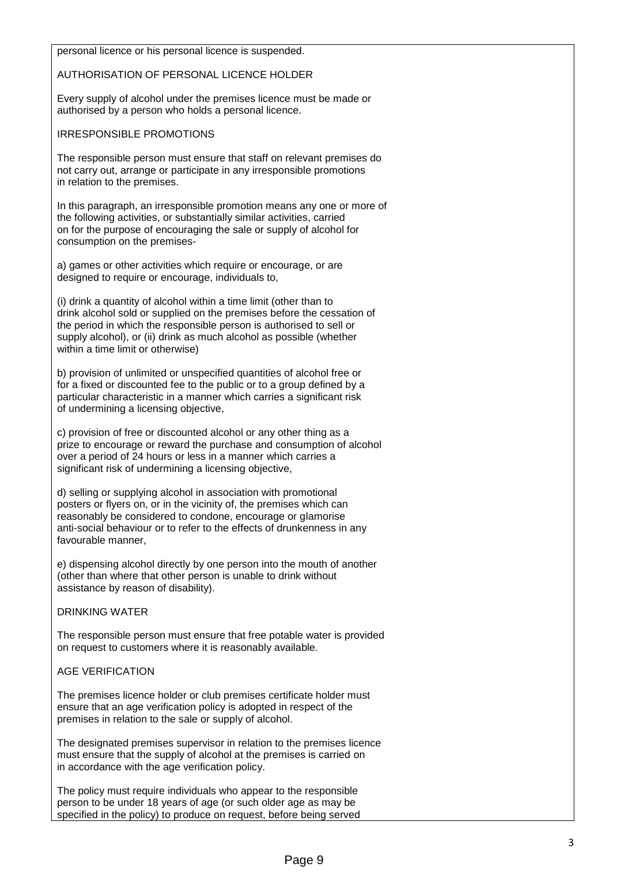personal licence or his personal licence is suspended.

#### AUTHORISATION OF PERSONAL LICENCE HOLDER

Every supply of alcohol under the premises licence must be made or authorised by a person who holds a personal licence.

#### IRRESPONSIBLE PROMOTIONS

The responsible person must ensure that staff on relevant premises do not carry out, arrange or participate in any irresponsible promotions in relation to the premises.

In this paragraph, an irresponsible promotion means any one or more of the following activities, or substantially similar activities, carried on for the purpose of encouraging the sale or supply of alcohol for consumption on the premises-

a) games or other activities which require or encourage, or are designed to require or encourage, individuals to,

(i) drink a quantity of alcohol within a time limit (other than to drink alcohol sold or supplied on the premises before the cessation of the period in which the responsible person is authorised to sell or supply alcohol), or (ii) drink as much alcohol as possible (whether within a time limit or otherwise)

b) provision of unlimited or unspecified quantities of alcohol free or for a fixed or discounted fee to the public or to a group defined by a particular characteristic in a manner which carries a significant risk of undermining a licensing objective,

c) provision of free or discounted alcohol or any other thing as a prize to encourage or reward the purchase and consumption of alcohol over a period of 24 hours or less in a manner which carries a significant risk of undermining a licensing objective,

d) selling or supplying alcohol in association with promotional posters or flyers on, or in the vicinity of, the premises which can reasonably be considered to condone, encourage or glamorise anti-social behaviour or to refer to the effects of drunkenness in any favourable manner,

e) dispensing alcohol directly by one person into the mouth of another (other than where that other person is unable to drink without assistance by reason of disability).

#### DRINKING WATER

The responsible person must ensure that free potable water is provided on request to customers where it is reasonably available.

#### AGE VERIFICATION

The premises licence holder or club premises certificate holder must ensure that an age verification policy is adopted in respect of the premises in relation to the sale or supply of alcohol.

The designated premises supervisor in relation to the premises licence must ensure that the supply of alcohol at the premises is carried on in accordance with the age verification policy.

The policy must require individuals who appear to the responsible person to be under 18 years of age (or such older age as may be specified in the policy) to produce on request, before being served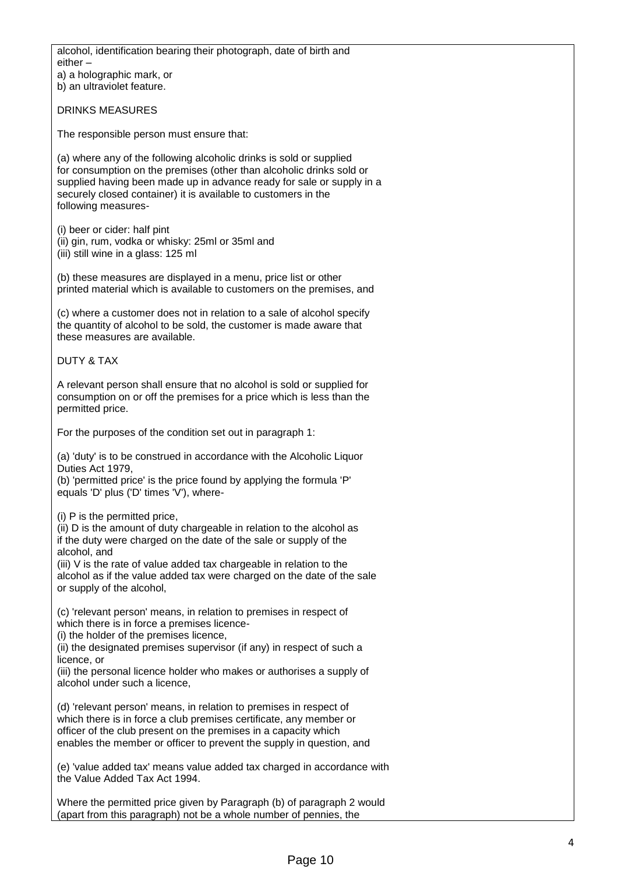alcohol, identification bearing their photograph, date of birth and either – a) a holographic mark, or b) an ultraviolet feature.

DRINKS MEASURES

The responsible person must ensure that:

(a) where any of the following alcoholic drinks is sold or supplied for consumption on the premises (other than alcoholic drinks sold or supplied having been made up in advance ready for sale or supply in a securely closed container) it is available to customers in the following measures-

(i) beer or cider: half pint

(ii) gin, rum, vodka or whisky: 25ml or 35ml and

(iii) still wine in a glass: 125 ml

(b) these measures are displayed in a menu, price list or other printed material which is available to customers on the premises, and

(c) where a customer does not in relation to a sale of alcohol specify the quantity of alcohol to be sold, the customer is made aware that these measures are available.

DUTY & TAX

A relevant person shall ensure that no alcohol is sold or supplied for consumption on or off the premises for a price which is less than the permitted price.

For the purposes of the condition set out in paragraph 1:

(a) 'duty' is to be construed in accordance with the Alcoholic Liquor Duties Act 1979,

(b) 'permitted price' is the price found by applying the formula 'P' equals 'D' plus ('D' times 'V'), where-

(i) P is the permitted price,

(ii) D is the amount of duty chargeable in relation to the alcohol as if the duty were charged on the date of the sale or supply of the alcohol, and

(iii) V is the rate of value added tax chargeable in relation to the alcohol as if the value added tax were charged on the date of the sale or supply of the alcohol,

(c) 'relevant person' means, in relation to premises in respect of which there is in force a premises licence-

(i) the holder of the premises licence,

(ii) the designated premises supervisor (if any) in respect of such a licence, or

(iii) the personal licence holder who makes or authorises a supply of alcohol under such a licence,

(d) 'relevant person' means, in relation to premises in respect of which there is in force a club premises certificate, any member or officer of the club present on the premises in a capacity which enables the member or officer to prevent the supply in question, and

(e) 'value added tax' means value added tax charged in accordance with the Value Added Tax Act 1994.

Where the permitted price given by Paragraph (b) of paragraph 2 would (apart from this paragraph) not be a whole number of pennies, the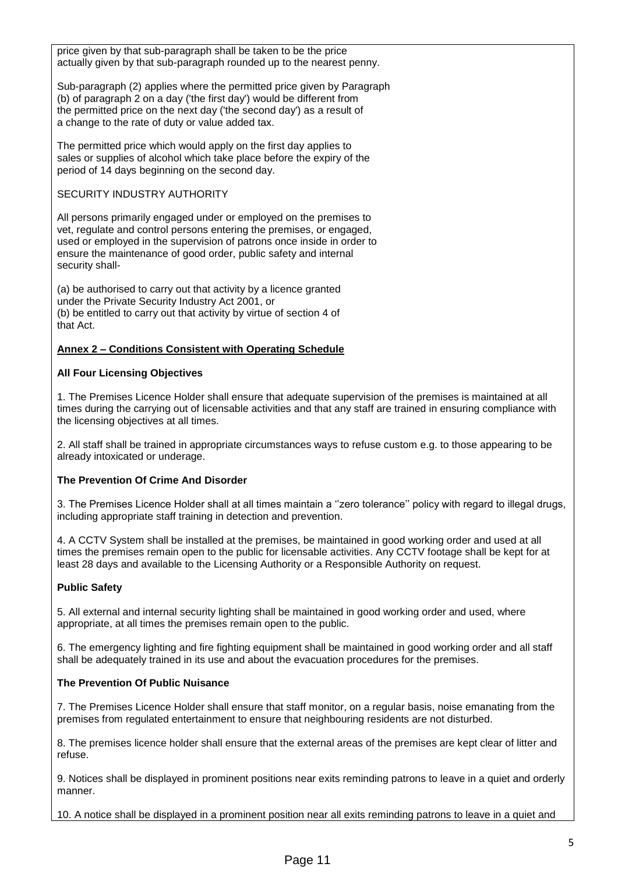price given by that sub-paragraph shall be taken to be the price actually given by that sub-paragraph rounded up to the nearest penny.

Sub-paragraph (2) applies where the permitted price given by Paragraph (b) of paragraph 2 on a day ('the first day') would be different from the permitted price on the next day ('the second day') as a result of a change to the rate of duty or value added tax.

The permitted price which would apply on the first day applies to sales or supplies of alcohol which take place before the expiry of the period of 14 days beginning on the second day.

## SECURITY INDUSTRY AUTHORITY

All persons primarily engaged under or employed on the premises to vet, regulate and control persons entering the premises, or engaged, used or employed in the supervision of patrons once inside in order to ensure the maintenance of good order, public safety and internal security shall-

(a) be authorised to carry out that activity by a licence granted under the Private Security Industry Act 2001, or (b) be entitled to carry out that activity by virtue of section 4 of that Act.

## **Annex 2 – Conditions Consistent with Operating Schedule**

#### **All Four Licensing Objectives**

1. The Premises Licence Holder shall ensure that adequate supervision of the premises is maintained at all times during the carrying out of licensable activities and that any staff are trained in ensuring compliance with the licensing objectives at all times.

2. All staff shall be trained in appropriate circumstances ways to refuse custom e.g. to those appearing to be already intoxicated or underage.

#### **The Prevention Of Crime And Disorder**

3. The Premises Licence Holder shall at all times maintain a ''zero tolerance'' policy with regard to illegal drugs, including appropriate staff training in detection and prevention.

4. A CCTV System shall be installed at the premises, be maintained in good working order and used at all times the premises remain open to the public for licensable activities. Any CCTV footage shall be kept for at least 28 days and available to the Licensing Authority or a Responsible Authority on request.

#### **Public Safety**

5. All external and internal security lighting shall be maintained in good working order and used, where appropriate, at all times the premises remain open to the public.

6. The emergency lighting and fire fighting equipment shall be maintained in good working order and all staff shall be adequately trained in its use and about the evacuation procedures for the premises.

#### **The Prevention Of Public Nuisance**

7. The Premises Licence Holder shall ensure that staff monitor, on a regular basis, noise emanating from the premises from regulated entertainment to ensure that neighbouring residents are not disturbed.

8. The premises licence holder shall ensure that the external areas of the premises are kept clear of litter and refuse.

9. Notices shall be displayed in prominent positions near exits reminding patrons to leave in a quiet and orderly manner.

10. A notice shall be displayed in a prominent position near all exits reminding patrons to leave in a quiet and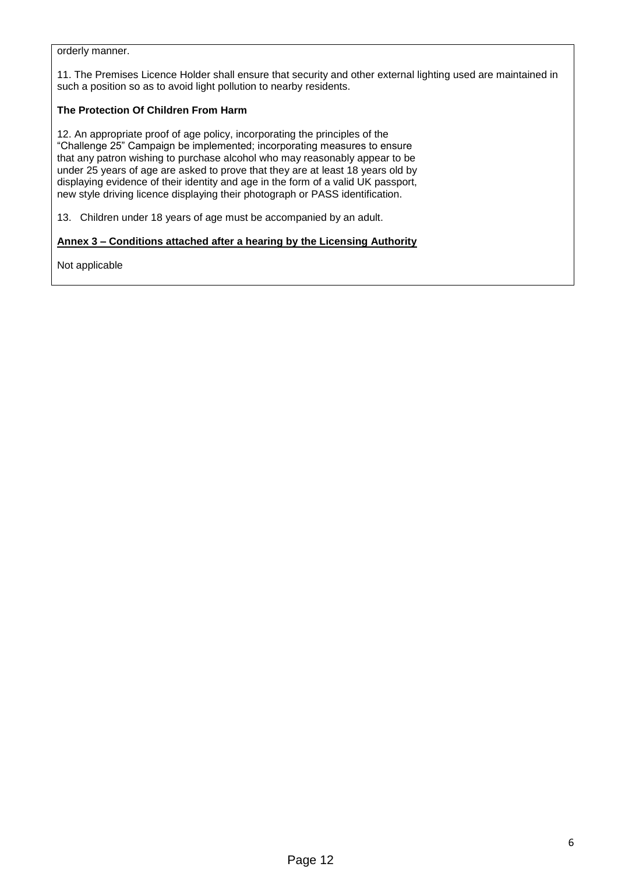#### orderly manner.

11. The Premises Licence Holder shall ensure that security and other external lighting used are maintained in such a position so as to avoid light pollution to nearby residents.

#### **The Protection Of Children From Harm**

12. An appropriate proof of age policy, incorporating the principles of the "Challenge 25" Campaign be implemented; incorporating measures to ensure that any patron wishing to purchase alcohol who may reasonably appear to be under 25 years of age are asked to prove that they are at least 18 years old by displaying evidence of their identity and age in the form of a valid UK passport, new style driving licence displaying their photograph or PASS identification.

13. Children under 18 years of age must be accompanied by an adult.

#### **Annex 3 – Conditions attached after a hearing by the Licensing Authority**

Not applicable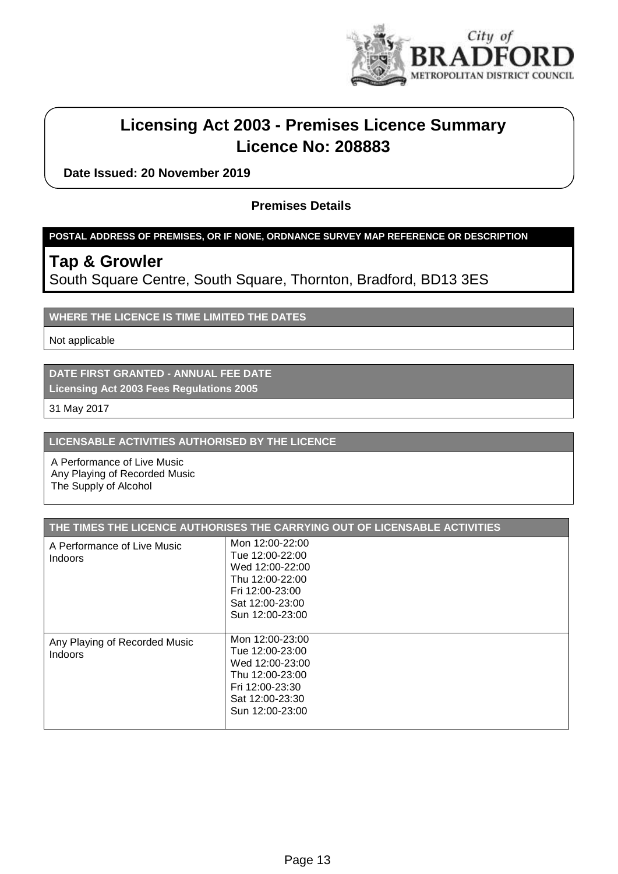

# **Licensing Act 2003 - Premises Licence Summary Licence No: 208883**

**Date Issued: 20 November 2019**

**Premises Details** 

**POSTAL ADDRESS OF PREMISES, OR IF NONE, ORDNANCE SURVEY MAP REFERENCE OR DESCRIPTION**

# **Tap & Growler**

South Square Centre, South Square, Thornton, Bradford, BD13 3ES

## **WHERE THE LICENCE IS TIME LIMITED THE DATES**

Not applicable

**DATE FIRST GRANTED - ANNUAL FEE DATE Licensing Act 2003 Fees Regulations 2005**

31 May 2017

## **LICENSABLE ACTIVITIES AUTHORISED BY THE LICENCE**

A Performance of Live Music Any Playing of Recorded Music The Supply of Alcohol

| THE TIMES THE LICENCE AUTHORISES THE CARRYING OUT OF LICENSABLE ACTIVITIES |                                                                                                                                   |  |
|----------------------------------------------------------------------------|-----------------------------------------------------------------------------------------------------------------------------------|--|
| A Performance of Live Music<br><b>Indoors</b>                              | Mon 12:00-22:00<br>Tue 12:00-22:00<br>Wed 12:00-22:00<br>Thu 12:00-22:00<br>Fri 12:00-23:00<br>Sat 12:00-23:00<br>Sun 12:00-23:00 |  |
| Any Playing of Recorded Music<br><b>Indoors</b>                            | Mon 12:00-23:00<br>Tue 12:00-23:00<br>Wed 12:00-23:00<br>Thu 12:00-23:00<br>Fri 12:00-23:30<br>Sat 12:00-23:30<br>Sun 12:00-23:00 |  |